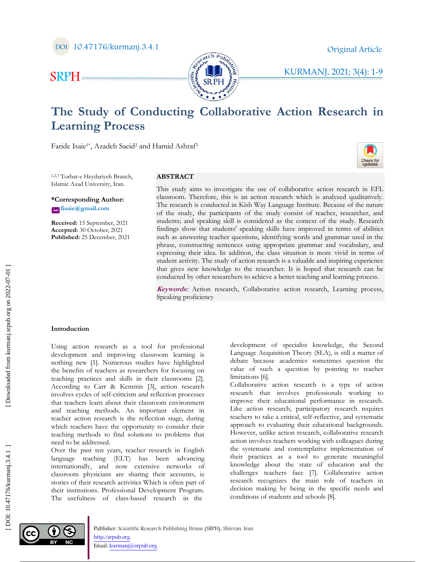KURMANJ, 2021; 3(4) : 1 - 9



# **The Study of Conducting Collaborative Action Research in Learning Process**

Faride Isaie<sup>1\*</sup>, Azadeh Saeid<sup>2</sup> and Hamid Ashraf<sup>3</sup>

1,2,3 Torbat -e Heydariyeh Branch, Islamic Azad University, Iran.

**\*Corresponding Author: fisaie@gmail.com**

SRP H

**Received:** 15 September, 202 1 **Accepted:** 30 October, 202 1 **Published:** 25 December, 202 1

# **ABSTRACT**

This study aims to investigate the use of collaborative action research in EFL classroom. Therefore, this is an action research which is analyzed qualitatively. The research is conducted in Kish Way Language Institute. Because of the nature of the study, the participants of the study consist of teacher, researcher, and students; and speaking skill is considered as the context of the study. Research findings show that students' speaking skills have improved in terms of abilities such as answering teacher questions, identifying words and grammar used in the phrase, constructing sentences using appropriate grammar and vocabulary, and expressing their idea. In addition, the class situation is more vivid in terms of student activity. The study of action research is a valuable and inspiring experience that gives new knowledge to the researcher. It is hoped that research can be conducted by other researchers to achieve a better teaching and learning process.

**Keywords:** Action research, Collaborative action research, Learning process, Speaking proficiency

## **Introduction**

Using action research as a tool for professional development and improving classroom learning is nothing new [1]. Numerous studies have highlighted the benefits of teachers as researchers for focusing on teaching practices and skills in their classrooms [2]. According to Carr & Kemmis [3], action research involves cycles of self-criticism and reflection processes that teachers learn about their classroom environment and teaching methods. An important element in teacher action research is the reflection stage, during which teachers have the opportunity to consider their teaching methods to find solutions to problems that need to be addressed.

Over the past ten years, teacher research in English language teaching (ELT) has been advancing internationally, and now extensive networks of classroom physicians are sharing their accounts, ie stories of their research activities Which is often part of their institutions. Professional Development Program. The usefulness of class -based research in the

development of specialist knowledge, the Second Language Acquisition Theory (SLA), is still a matter of debate because academics sometimes question the value of such a question by pointing to teacher limitations [6].

Collaborative action research is a type of action research that involves professionals working to improve their educational performance in research. Like action research, participatory research requires teachers to take a critical, self-reflective, and systematic approach to evaluating their educational backgrounds. However, unlike action research, collaborative research action involves teachers working with colleagues during the systematic and contemplative implementation of their practices as a tool to generate meaningful knowledge about the state of education and the challenges teachers face [7]. Collaborative action research recognizes the main role of teachers in decision making by being in the specific needs and Conditions of students and schools and the students and schools [8]. The students and schools [8]. The students and schools [8]. The students are according the students are of the nature of the study consist of teacher, re

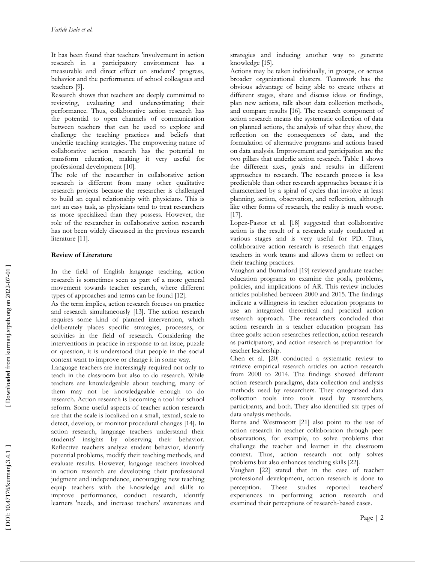It has been found that teachers 'involvement in action research in a participatory environment has a measurable and direct effect on students' progress, behavior and the performance of school colleagues and teachers [9].

Research shows that teachers are deeply committed to reviewing, evaluating and underestimating their performance. Thus, collaborative action research has the potential to open channels of communication between teachers that can be used to explore and challenge the teaching practices and beliefs that underlie teaching strategies. The empowering nature of collaborative action research has the potential to transform education, making it very useful for professional development [10].

The role of the researcher in collaborative action research is different from many other qualitative research projects because the researcher is challenged to build an equal relationship with physicians. This is not an easy task, as physicians tend to treat researchers as more specialized than they possess. However, the role of the researcher in collaborative action research has not been widely discussed in the previous research literature [11].

# **Review of Literature**

In the field of English language teaching, action research is sometimes seen as part of a more general movement towards teacher research, where different types of approaches and terms can be found [12].

As the term implies, action research focuses on practice and research simultaneously [13]. The action research requires some kind of planned intervention, which deliberately places specific strategies, processes, or activities in the field of research. Considering the interventions in practice in response to an issue, puzzle or question, it is understood that people in the social context want to improve or change it in some way.

Language teachers are increasingly required not only to teach in the classroom but also to do research. While teachers are knowledgeable about teaching, many of them may not be knowledgeable enough to do research. Action research is becoming a tool for school reform. Some useful aspects of teacher action research are that the scale is localized on a small, textual, scale to detect, develop, or monitor procedural changes [14]. In action research, language teachers understand their students' insights by observing their behavior. Reflective teachers analyze student behavior, identify potential problems, modify their teaching methods, and evaluate results. However, language teachers involved in action research are developing their professional judgment and independence, encouraging new teaching equip teachers with the knowledge and skills to improve performance, conduct research, identify learners 'needs, and increase teachers' awareness and

strategies and inducing another way to generate knowledge [15].

Actions may be taken individually, in groups, or across broader organizational clusters. Teamwork has the obvious advantage of being able to create others at different stages, share and discuss ideas or findings, plan new actions, talk about data collection methods, and compare results [16]. The research component of action research means the systematic collection of data on planned actions, the analysis of what they show, the reflection on the consequences of data, and the formulation of alternative programs and actions based on data analysis. Improvement and participation are the two pillars that underlie action research. Table 1 shows the different axes, goals and results in different approaches to research. The research process is less predictable than other research approaches because it is characterized by a spiral of cycles that involve at least planning, action, observation, and reflection, although like other forms of research, the reality is much worse. [17].

Lopez -Pastor et al. [18] suggested that collaborative action is the result of a research study conducted at various stages and is very useful for PD. Thus, collaborative action research is research that engages teachers in work teams and allows them to reflect on their teaching practices.

Vaughan and Burnaford [19] reviewed graduate teacher education programs to examine the goals, problems, policies, and implications of AR. This review includes articles published between 2000 and 2015. The findings indicate a willingness in teacher education programs to use an integrated theoretical and practical action research approach. The researchers concluded that action research in a teacher education program has three goals: action researches reflection, action research as participatory, and action research as preparation for teacher leadership.

Chen et al. [20] conducted a systematic review to retrieve empirical research articles on action research from 2000 to 2014. The findings showed different action research paradigms, data collection and analysis methods used by researchers. They categorized data collection tools into tools used by researchers, participants, and both. They also identified six types of data analysis methods.

Burns and Westmacott [21] also point to the use of action research in teacher collaboration through peer observations, for example, to solve problems that challenge the teacher and learner in the classroom context. Thus, action research not only solves problems but also enhances teaching skills [22].

Vaughan [22] stated that in the case of teacher professional development, action research is done to perception. These studies reported teachers' experiences in performing action research and examined their perceptions of research -based cases.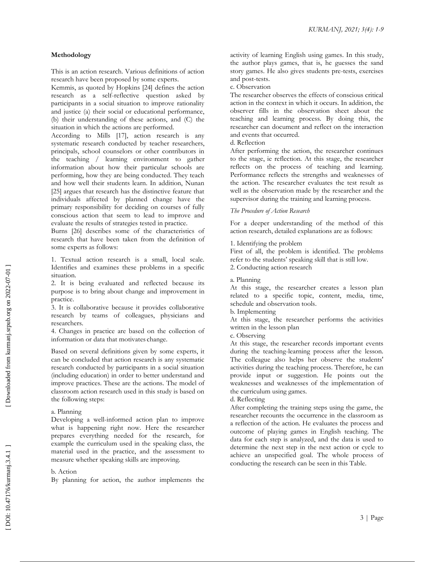## **Methodology**

This is an action research. Various definitions of action research have been proposed by some experts.

Kemmis, as quoted by Hopkins [24] defines the action research as a self-reflective question asked by participants in a social situation to improve rationality and justice (a) their social or educational performance, (b) their understanding of these actions, and (C) the situation in which the actions are performed.

According to Mills [17], action research is any systematic research conducted by teacher researchers, principals, school counselors or other contributors in the teaching / learning environment to gather information about how their particular schools are performing, how they are being conducted. They teach and how well their students learn. In addition, Nunan [25] argues that research has the distinctive feature that individuals affected by planned change have the primary responsibility for deciding on courses of fully conscious action that seem to lead to improve and evaluate the results of strategies tested in practice.

Burns [26] describes some of the characteristics of research that have been taken from the definition of some experts as follows:

1. Textual action research is a small, local scale. Identifies and examines these problems in a specific situation.

2. It is being evaluated and reflected because its purpose is to bring about change and improvement in practice.

3. It is collaborative because it provides collaborative research by teams of colleagues, physicians and researchers.

4. Changes in practice are based on the collection of information or data that motivates change.

Based on several definitions given by some experts, it can be concluded that action research is any systematic research conducted by participants in a social situation (including education) in order to better understand and improve practices. These are the actions. The model of classroom action research used in this study is based on the following steps:

#### a. Planning

Developing a well -informed action plan to improve what is happening right now. Here the researcher prepares everything needed for the research, for example the curriculum used in the speaking class, the material used in the practice, and the assessment to measure whether speaking skills are improving.

## b. Action

By planning for action, the author implements the

activity of learning English using games. In this study, the author plays games, that is, he guesses the sand story games. He also gives students pre -tests, exercises and post -tests.

c. Observation

The researcher observes the effects of conscious critical action in the context in which it occurs. In addition, the observer fills in the observation sheet about the teaching and learning process. By doing this, the researcher can document and reflect on the interaction and events that occurred.

#### d. Reflection

After performing the action, the researcher continues to the stage, ie reflection. At this stage, the researcher reflects on the process of teaching and learning. Performance reflects the strengths and weaknesses of the action. The researcher evaluates the test result as well as the observation made by the researcher and the supervisor during the training and learning process.

#### *The Procedure of Action Research*

For a deeper understanding of the method of this action research, detailed explanations are as follows:

1. Identifying the problem

First of all, the problem is identified. The problems refer to the students' speaking skill that is still low. 2. Conducting action research

a. Planning

At this stage, the researcher creates a lesson plan related to a specific topic, content, media, time, schedule and observation tools.

b. Implementing

At this stage, the researcher performs the activities written in the lesson plan

c. Observing

At this stage, the researcher records important events during the teaching -learning process after the lesson. The colleague also helps her observe the students' activities during the teaching process. Therefore, he can provide input or suggestion. He points out the weaknesses and weaknesses of the implementation of the curriculum using games.

d. Reflecting

After completing the training steps using the game, the researcher recounts the occurrence in the classroom as a reflection of the action. He evaluates the process and outcome of playing games in English teaching. The data for each step is analyzed, and the data is used to determine the next step in the next action or cycle to achieve an unspecified goal. The whole process of conducting the research can be seen in this Table.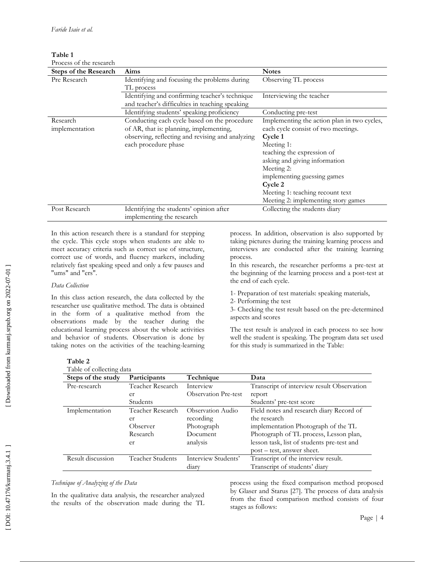**Table 1**

| Process of the research      |                                                  |                                             |
|------------------------------|--------------------------------------------------|---------------------------------------------|
| <b>Steps of the Research</b> | Aims                                             | <b>Notes</b>                                |
| Pre Research                 | Identifying and focusing the problems during     | Observing TL process                        |
|                              | TL process                                       |                                             |
|                              | Identifying and confirming teacher's technique   | Interviewing the teacher                    |
|                              | and teacher's difficulties in teaching speaking  |                                             |
|                              | Identifying students' speaking proficiency       | Conducting pre-test                         |
| Research                     | Conducting each cycle based on the procedure     | Implementing the action plan in two cycles, |
| implementation               | of AR, that is: planning, implementing,          | each cycle consist of two meetings.         |
|                              | observing, reflecting and revising and analyzing | Cycle 1                                     |
|                              | each procedure phase                             | Meeting 1:                                  |
|                              |                                                  | teaching the expression of                  |
|                              |                                                  | asking and giving information               |
|                              |                                                  | Meeting 2:                                  |
|                              |                                                  | implementing guessing games                 |
|                              |                                                  | Cycle 2                                     |
|                              |                                                  | Meeting 1: teaching recount text            |
|                              |                                                  | Meeting 2: implementing story games         |
| Post Research                | Identifying the students' opinion after          | Collecting the students diary               |
|                              | implementing the research                        |                                             |

In this action research there is a standard for stepping the cycle. This cycle stops when students are able to meet accuracy criteria such as correct use of structure, correct use of words, and fluency markers, including relatively fast speaking speed and only a few pauses and "ums" and "ers".

# *Data Collection*

In this class action research, the data collected by the researcher use qualitative method. The data is obtained in the form of a qualitative method from the observations made by the teacher during the educational learning process about the whole activities and behavior of students. Observation is done by taking notes on the activities of the teaching -learning process. In addition, observation is also supported by taking pictures during the training learning process and interviews are conducted after the training learning process.

In this research, the researcher performs a pre -test at the beginning of the learning process and a post -test at the end of each cycle.

1- Preparation of test materials: speaking materials, 2- Performing the test

3- Checking the test result based on the pre-determined aspects and scores

The test result is analyzed in each process to see how well the student is speaking. The program data set used for this study is summarized in the Table :

| able |  |
|------|--|
|------|--|

| Table of collecting data |  |  |
|--------------------------|--|--|
|                          |  |  |

| Table of collecting data |                  |                             |                                            |
|--------------------------|------------------|-----------------------------|--------------------------------------------|
| Steps of the study       | Participants     | Technique                   | Data                                       |
| Pre-research             | Teacher Research | Interview                   | Transcript of interview result Observation |
|                          | er               | <b>Observation Pre-test</b> | report                                     |
|                          | Students         |                             | Students' pre-test score                   |
| Implementation           | Teacher Research | Observation Audio           | Field notes and research diary Record of   |
|                          | er               | recording                   | the research                               |
|                          | Observer         | Photograph                  | implementation Photograph of the TL        |
|                          | Research         | Document                    | Photograph of TL process, Lesson plan,     |
|                          | er               | analysis                    | lesson task, list of students pre-test and |
|                          |                  |                             | post – test, answer sheet.                 |
| Result discussion        | Teacher Students | Interview Students'         | Transcript of the interview result.        |
|                          |                  | diary                       | Transcript of students' diary              |

# *Technique of Analyzing of the Data*

In the qualitative data analysis, the researcher analyzed the results of the observation made during the TL process using the fixed comparison method proposed by Glaser and Starus [27]. The process of data analysis from the fixed comparison method consists of four stages as follows: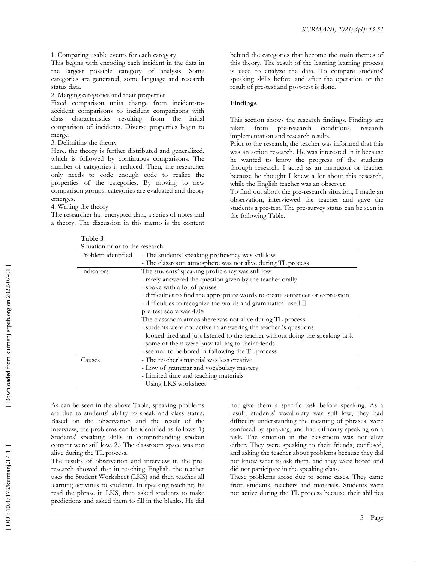1. Comparing usable events for each category

This begins with encoding each incident in the data in the largest possible category of analysis. Some categories are generated, some language and research status data.

2. Merging categories and their properties

Fixed comparison units change from incident-toaccident comparisons to incident comparisons with class characteristics resulting from the initial comparison of incidents. Diverse properties begin to merge.

3. Delimiting the theory

Here, the theory is further distributed and generalized, which is followed by continuous comparisons. The number of categories is reduced. Then, the researcher only needs to code enough code to realize the properties of the categories. By moving to new comparison groups, categories are evaluated and theory emerges.

4. Writing the theory

The researcher has encrypted data, a series of notes and a theory. The discussion in this memo is the content behind the categories that become the main themes of this theory. The result of the learning learning process is used to analyze the data. To compare students' speaking skills before and after the operation or the result of pre -test and post -test is done.

## **Findings**

This section shows the research findings. Findings are taken from pre conditions, research implementation and research results.

Prior to the research, the teacher was informed that this was an action research. He was interested in it because he wanted to know the progress of the students through research. I acted as an instructor or teacher because he thought I knew a lot about this research, while the English teacher was an observer.

To find out about the pre -research situation, I made an observation, interviewed the teacher and gave the students a pre -test. The pre -survey status can be seen in the following Table.

| <b>Table</b> |
|--------------|
|--------------|

| Situation prior to the research |                                                                                 |  |
|---------------------------------|---------------------------------------------------------------------------------|--|
| Problem identified              | - The students' speaking proficiency was still low                              |  |
|                                 | - The classroom atmosphere was not alive during TL process                      |  |
| Indicators                      | The students' speaking proficiency was still low                                |  |
|                                 | - rarely answered the question given by the teacher orally                      |  |
|                                 | - spoke with a lot of pauses                                                    |  |
|                                 | - difficulties to find the appropriate words to create sentences or expression  |  |
|                                 | - difficulties to recognize the words and grammatical used $\Box$               |  |
|                                 | pre-test score was 4.08                                                         |  |
|                                 | The classroom atmosphere was not alive during TL process                        |  |
|                                 | - students were not active in answering the teacher 's questions                |  |
|                                 | - looked tired and just listened to the teacher without doing the speaking task |  |
|                                 | - some of them were busy talking to their friends                               |  |
|                                 | - seemed to be bored in following the TL process                                |  |
| Causes                          | - The teacher's material was less creative                                      |  |
|                                 | - Low of grammar and vocabulary mastery                                         |  |
|                                 | - Limited time and teaching materials                                           |  |
|                                 | - Using LKS worksheet                                                           |  |

As can be seen in the above Table, speaking problems are due to students' ability to speak and class status. Based on the observation and the result of the interview, the problems can be identified as follows: 1) Students' speaking skills in comprehending spoken content were still low. 2.) The classroom space was not alive during the TL process.

The results of observation and interview in the preresearch showed that in teaching English, the teacher uses the Student Worksheet (LKS) and then teaches all learning activities to students. In speaking teaching, he read the phrase in LKS, then asked students to make predictions and asked them to fill in the blanks. He did not give them a specific task before speaking. As a result, students' vocabulary was still low, they had difficulty understanding the meaning of phrases, were confused by speaking, and had difficulty speaking on a task. The situation in the classroom was not alive either. They were speaking to their friends, confused, and asking the teacher about problems because they did not know what to ask them, and they were bored and did not participate in the speaking class.

These problems arose due to some cases. They came from students, teachers and materials. Students were not active during the TL process because their abilities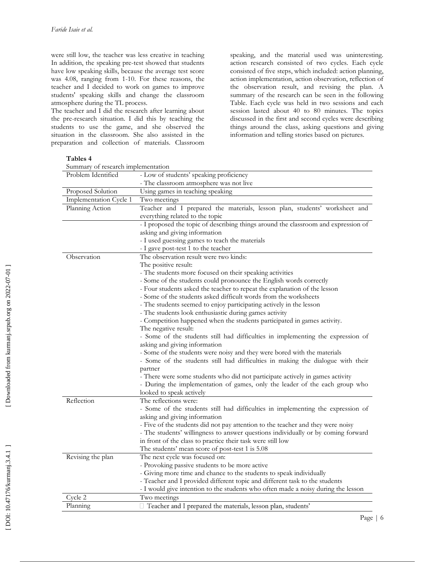In addition, the speaking pre -test showed that students have low speaking skills, because the average test score was 4.08, ranging from 1 -10. For these reasons, the teacher and I decided to work on games to improve students' speaking skills and change the classroom atmosphere during the TL process.

The teacher and I did the research after learning about the pre -research situation. I did this by teaching the students to use the game, and she observed the situation in the classroom. She also assisted in the preparation and collection of materials. Classroom

were still low, the teacher was less creative in teaching speaking, and the material used was uninteresting. action research consisted of two cycles. Each cycle consisted of five steps, which included: action planning, action implementation, action observation, reflection of the observation result, and revising the plan. A summary of the research can be seen in the following Table. Each cycle was held in two sessions and each session lasted about 40 to 80 minutes. The topics discussed in the first and second cycles were describing things around the class, asking questions and giving information and telling stories based on pictures.

| <b>Tables 4</b> |  |
|-----------------|--|
|-----------------|--|

| Problem Identified<br>- The classroom atmosphere was not live<br>Proposed Solution<br>Using games in teaching speaking<br>Implementation Cycle 1<br>Two meetings<br>Planning Action<br>everything related to the topic<br>asking and giving information<br>- I used guessing games to teach the materials<br>- I gave post-test 1 to the teacher<br>The observation result were two kinds:<br>Observation<br>The positive result:<br>- The students more focused on their speaking activities<br>- Some of the students could pronounce the English words correctly<br>- Four students asked the teacher to repeat the explanation of the lesson<br>- Some of the students asked difficult words from the worksheets<br>- The students seemed to enjoy participating actively in the lesson<br>- The students look enthusiastic during games activity<br>- Competition happened when the students participated in games activity.<br>The negative result:<br>asking and giving information<br>- Some of the students were noisy and they were bored with the materials<br>partner<br>- There were some students who did not participate actively in games activity<br>- During the implementation of games, only the leader of the each group who<br>looked to speak actively<br>Reflection<br>The reflections were:<br>asking and giving information<br>- Five of the students did not pay attention to the teacher and they were noisy<br>- The students' willingness to answer questions individually or by coming forward<br>in front of the class to practice their task were still low<br>The students' mean score of post-test 1 is 5.08<br>Revising the plan<br>The next cycle was focused on:<br>- Provoking passive students to be more active<br>- Giving more time and chance to the students to speak individually<br>- Teacher and I provided different topic and different task to the students<br>- I would give intention to the students who often made a noisy during the lesson<br>Cycle 2<br>Two meetings | Summary of research implementation |                                                                                                                                                                    |
|--------------------------------------------------------------------------------------------------------------------------------------------------------------------------------------------------------------------------------------------------------------------------------------------------------------------------------------------------------------------------------------------------------------------------------------------------------------------------------------------------------------------------------------------------------------------------------------------------------------------------------------------------------------------------------------------------------------------------------------------------------------------------------------------------------------------------------------------------------------------------------------------------------------------------------------------------------------------------------------------------------------------------------------------------------------------------------------------------------------------------------------------------------------------------------------------------------------------------------------------------------------------------------------------------------------------------------------------------------------------------------------------------------------------------------------------------------------------------------------------------------------------------------------------------------------------------------------------------------------------------------------------------------------------------------------------------------------------------------------------------------------------------------------------------------------------------------------------------------------------------------------------------------------------------------------------------------------------------------------------------------------------------------|------------------------------------|--------------------------------------------------------------------------------------------------------------------------------------------------------------------|
|                                                                                                                                                                                                                                                                                                                                                                                                                                                                                                                                                                                                                                                                                                                                                                                                                                                                                                                                                                                                                                                                                                                                                                                                                                                                                                                                                                                                                                                                                                                                                                                                                                                                                                                                                                                                                                                                                                                                                                                                                                |                                    | - Low of students' speaking proficiency                                                                                                                            |
|                                                                                                                                                                                                                                                                                                                                                                                                                                                                                                                                                                                                                                                                                                                                                                                                                                                                                                                                                                                                                                                                                                                                                                                                                                                                                                                                                                                                                                                                                                                                                                                                                                                                                                                                                                                                                                                                                                                                                                                                                                |                                    |                                                                                                                                                                    |
|                                                                                                                                                                                                                                                                                                                                                                                                                                                                                                                                                                                                                                                                                                                                                                                                                                                                                                                                                                                                                                                                                                                                                                                                                                                                                                                                                                                                                                                                                                                                                                                                                                                                                                                                                                                                                                                                                                                                                                                                                                |                                    |                                                                                                                                                                    |
|                                                                                                                                                                                                                                                                                                                                                                                                                                                                                                                                                                                                                                                                                                                                                                                                                                                                                                                                                                                                                                                                                                                                                                                                                                                                                                                                                                                                                                                                                                                                                                                                                                                                                                                                                                                                                                                                                                                                                                                                                                |                                    |                                                                                                                                                                    |
|                                                                                                                                                                                                                                                                                                                                                                                                                                                                                                                                                                                                                                                                                                                                                                                                                                                                                                                                                                                                                                                                                                                                                                                                                                                                                                                                                                                                                                                                                                                                                                                                                                                                                                                                                                                                                                                                                                                                                                                                                                |                                    | Teacher and I prepared the materials, lesson plan, students' worksheet and                                                                                         |
|                                                                                                                                                                                                                                                                                                                                                                                                                                                                                                                                                                                                                                                                                                                                                                                                                                                                                                                                                                                                                                                                                                                                                                                                                                                                                                                                                                                                                                                                                                                                                                                                                                                                                                                                                                                                                                                                                                                                                                                                                                |                                    | - I proposed the topic of describing things around the classroom and expression of                                                                                 |
|                                                                                                                                                                                                                                                                                                                                                                                                                                                                                                                                                                                                                                                                                                                                                                                                                                                                                                                                                                                                                                                                                                                                                                                                                                                                                                                                                                                                                                                                                                                                                                                                                                                                                                                                                                                                                                                                                                                                                                                                                                |                                    |                                                                                                                                                                    |
|                                                                                                                                                                                                                                                                                                                                                                                                                                                                                                                                                                                                                                                                                                                                                                                                                                                                                                                                                                                                                                                                                                                                                                                                                                                                                                                                                                                                                                                                                                                                                                                                                                                                                                                                                                                                                                                                                                                                                                                                                                |                                    |                                                                                                                                                                    |
|                                                                                                                                                                                                                                                                                                                                                                                                                                                                                                                                                                                                                                                                                                                                                                                                                                                                                                                                                                                                                                                                                                                                                                                                                                                                                                                                                                                                                                                                                                                                                                                                                                                                                                                                                                                                                                                                                                                                                                                                                                |                                    | - Some of the students still had difficulties in implementing the expression of<br>- Some of the students still had difficulties in making the dialogue with their |
|                                                                                                                                                                                                                                                                                                                                                                                                                                                                                                                                                                                                                                                                                                                                                                                                                                                                                                                                                                                                                                                                                                                                                                                                                                                                                                                                                                                                                                                                                                                                                                                                                                                                                                                                                                                                                                                                                                                                                                                                                                |                                    | - Some of the students still had difficulties in implementing the expression of                                                                                    |
|                                                                                                                                                                                                                                                                                                                                                                                                                                                                                                                                                                                                                                                                                                                                                                                                                                                                                                                                                                                                                                                                                                                                                                                                                                                                                                                                                                                                                                                                                                                                                                                                                                                                                                                                                                                                                                                                                                                                                                                                                                |                                    |                                                                                                                                                                    |
|                                                                                                                                                                                                                                                                                                                                                                                                                                                                                                                                                                                                                                                                                                                                                                                                                                                                                                                                                                                                                                                                                                                                                                                                                                                                                                                                                                                                                                                                                                                                                                                                                                                                                                                                                                                                                                                                                                                                                                                                                                |                                    |                                                                                                                                                                    |
|                                                                                                                                                                                                                                                                                                                                                                                                                                                                                                                                                                                                                                                                                                                                                                                                                                                                                                                                                                                                                                                                                                                                                                                                                                                                                                                                                                                                                                                                                                                                                                                                                                                                                                                                                                                                                                                                                                                                                                                                                                | Planning                           | □ Teacher and I prepared the materials, lesson plan, students'                                                                                                     |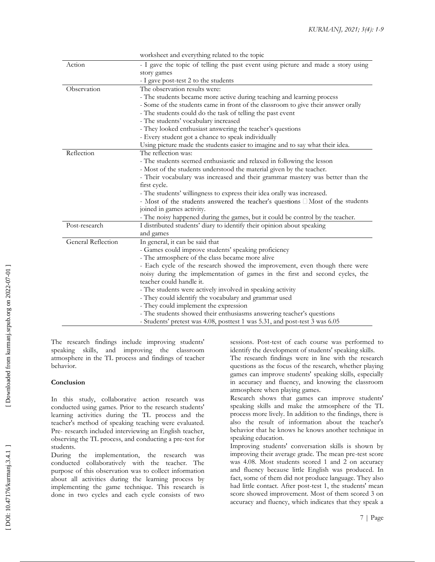|                    | worksheet and everything related to the topic                                          |
|--------------------|----------------------------------------------------------------------------------------|
| Action             | - I gave the topic of telling the past event using picture and made a story using      |
|                    | story games                                                                            |
|                    | - I gave post-test 2 to the students                                                   |
| Observation        | The observation results were:                                                          |
|                    | - The students became more active during teaching and learning process                 |
|                    | - Some of the students came in front of the classroom to give their answer orally      |
|                    | - The students could do the task of telling the past event                             |
|                    | - The students' vocabulary increased                                                   |
|                    | - They looked enthusiast answering the teacher's questions                             |
|                    | - Every student got a chance to speak individually                                     |
|                    | Using picture made the students easier to imagine and to say what their idea.          |
| Reflection         | The reflection was:                                                                    |
|                    | - The students seemed enthusiastic and relaxed in following the lesson                 |
|                    | - Most of the students understood the material given by the teacher.                   |
|                    | - Their vocabulary was increased and their grammar mastery was better than the         |
|                    | first cycle.                                                                           |
|                    | - The students' willingness to express their idea orally was increased.                |
|                    | - Most of the students answered the teacher's questions $\square$ Most of the students |
|                    | joined in games activity.                                                              |
|                    | - The noisy happened during the games, but it could be control by the teacher.         |
| Post-research      | I distributed students' diary to identify their opinion about speaking                 |
|                    | and games                                                                              |
| General Reflection | In general, it can be said that                                                        |
|                    | - Games could improve students' speaking proficiency                                   |
|                    | - The atmosphere of the class became more alive                                        |
|                    | - Each cycle of the research showed the improvement, even though there were            |
|                    | noisy during the implementation of games in the first and second cycles, the           |
|                    | teacher could handle it.                                                               |
|                    | - The students were actively involved in speaking activity                             |
|                    | - They could identify the vocabulary and grammar used                                  |
|                    | - They could implement the expression                                                  |
|                    | - The students showed their enthusiasms answering teacher's questions                  |
|                    | - Students' pretest was 4.08, posttest 1 was 5.31, and post-test 3 was 6.05            |

The research findings include improving students' speaking skills, and improving the classroom atmosphere in the TL process and findings of teacher behavior.

# **Conclusion**

In this study, collaborative action research was conducted using games. Prior to the research students' learning activities during the TL process and the teacher's method of speaking teaching were evaluated. Pre - research included interviewing an English teacher, observing the TL process, and conducting a pre -test for students.

During the implementation, the research was conducted collaboratively with the teacher. The purpose of this observation was to collect information about all activities during the learning process by implementing the game technique. This research is done in two cycles and each cycle consists of two

sessions. Post -test of each course was performed to identify the development of students' speaking skills.

The research findings were in line with the research questions as the focus of the research, whether playing games can improve students' speaking skills, especially in accuracy and fluency, and knowing the classroom atmosphere when playing games.

Research shows that games can improve students' speaking skills and make the atmosphere of the TL process more lively. In addition to the findings, there is also the result of information about the teacher's behavior that he knows he knows another technique in speaking education.

Improving students' conversation skills is shown by improving their average grade. The mean pre -test score was 4.08. Most students scored 1 and 2 on accuracy and fluency because little English was produced. In fact, some of them did not produce language. They also had little contact. After post -test 1, the students' mean score showed improvement. Most of them scored 3 on accuracy and fluency, which indicates that they speak a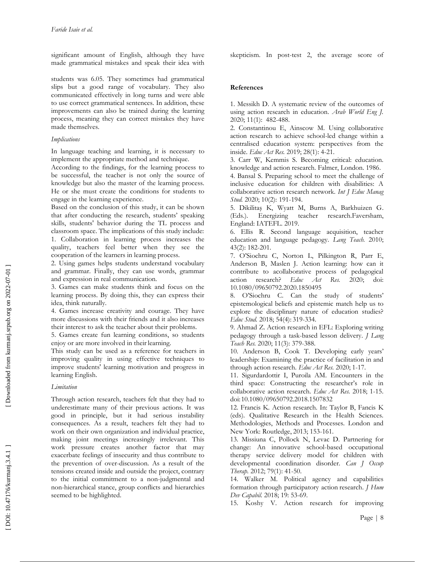significant amount of English, although they have made grammatical mistakes and speak their idea with

students was 6.05. They sometimes had grammatical slips but a good range of vocabulary. They also communicated effectively in long turns and were able to use correct grammatical sentences. In addition, these improvements can also be trained during the learning process, meaning they can correct mistakes they have made themselves.

#### *Implications*

In language teaching and learning, it is necessary to implement the appropriate method and technique.

According to the findings, for the learning process to be successful, the teacher is not only the source of knowledge but also the master of the learning process. He or she must create the conditions for students to engage in the learning experience.

Based on the conclusion of this study, it can be shown that after conducting the research, students' speaking skills, students' behavior during the TL process and classroom space. The implications of this study include: 1. Collaboration in learning process increases the quality, teachers feel better when they see the

cooperation of the learners in learning process. 2. Using games helps students understand vocabulary

and grammar. Finally, they can use words, grammar and expression in real communication.

3. Games can make students think and focus on the learning process. By doing this, they can express their idea, think naturally.

4. Games increase creativity and courage. They have more discussions with their friends and it also increases their interest to ask the teacher about their problems.

5. Games create fun learning conditions, so students enjoy or are more involved in their learning.

This study can be used as a reference for teachers in improving quality in using effective techniques to improve students' learning motivation and progress in learning English.

## *Limitation*

Through action research, teachers felt that they had to underestimate many of their previous actions. It was good in principle, but it had serious instability consequences. As a result, teachers felt they had to work on their own organization and individual practice, making joint meetings increasingly irrelevant. This work pressure creates another factor that may exacerbate feelings of insecurity and thus contribute to the prevention of over -discussion. As a result of the tensions created inside and outside the project, contrary to the initial commitment to a non -judgmental and non -hierarchical stance, group conflicts and hierarchies seemed to be highlighted.

skepticism. In post -test 2, the average score of

#### **References**

1. Messikh D. A systematic review of the outcomes of using action research in education. *Arab World Eng J.* 2020 ; 11(1): 482 -488.

2. Constantinou E, Ainscow M. Using collaborative action research to achieve school -led change within a centralised education system: perspectives from the inside. Educ Act Res. 2019; 28(1): 4-21.

3. Carr W, Kemmis S. Becoming critical: education. knowledge and action research. Falmer, London . 1986 .

4. Bansal S. Preparing school to meet the challenge of inclusive education for children with disabilities: A collaborative action research network. *Int J Educ Manag*  Stud. 2020; 10(2): 191-194.

5. Dikilitaş K, Wyatt M, Burns A, Barkhuizen G. (Eds.). Energizing teacher research.Faversham, England: IATEFL. 2019 .

6. Ellis R. Second language acquisition, teacher education and language pedagogy. *Lang Teach.* 2010; 43( 2): 182 -201.

7. O'Siochru C, Norton L, Pilkington R, Parr E, Anderson B, Maslen J. Action learning: how can it contribute to acollaborative process of pedagogical action research? *Educ Act Res.* 2020; doi: 10.1080/09650792.2020.1850495

8. O'Siochru C . Can the study of students' epistemological beliefs and epistemic match help us to explore the disciplinary nature of education studies? Educ Stud. 2018; 54(4): 319-334.

9. Ahmad Z . Action research in EFL: Exploring writing pedagogy through a task -based lesson delivery. *J Lang*  Teach Res. 2020; 11(3): 379-388.

10. Anderson B, Cook T. Developing early years' leadership: Examining the practice of facilitation in and through action research. Educ Act Res. 2020; 1-17.

11. Sigurdardottir I, Puroila AM. Encounters in the third space: Constructing the researcher's role in collaborative action research. Educ Act Res. 2018; 1-15. doi:10.1080/09650792.2018.1507832

12. Francis K. Action research. In: Taylor B, Fancis K (eds) . Qualitative Research in the Health Sciences. Methodologies, Methods and Processes. London and New York: Routledge, 2013; 153 -161.

13. Missiuna C, Pollock N, Levac D. Partnering for change: An innovative school -based occupational therapy service delivery model for children with developmental coordination disorder. *Can J Occup*  Therap. 2012; 79(1): 41-50.

14. Walker M. Political agency and capabilities formation through participatory action research. *J Hum Dev Capabil.* 2018; 19: 53 -69.

15. Koshy V. Action research for improving

Downloaded from kurmanj.srpub.org on 2022-07-01